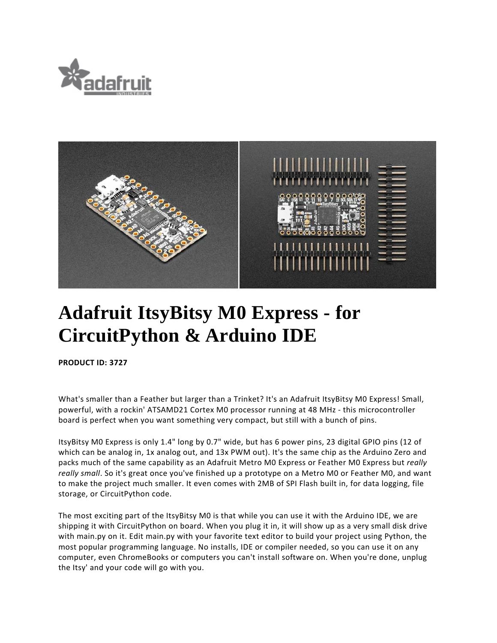



## **Adafruit ItsyBitsy M0 Express - for CircuitPython & Arduino IDE**

**PRODUCT ID: 3727** 

What's smaller than a Feather but larger than a Trinket? It's an Adafruit ItsyBitsy M0 Express! Small, powerful, with a rockin' ATSAMD21 Cortex M0 processor running at 48 MHz ‐ this microcontroller board is perfect when you want something very compact, but still with a bunch of pins.

ItsyBitsy M0 Express is only 1.4" long by 0.7" wide, but has 6 power pins, 23 digital GPIO pins (12 of which can be analog in, 1x analog out, and 13x PWM out). It's the same chip as the Arduino Zero and packs much of the same capability as an Adafruit Metro M0 Express or Feather M0 Express but *really really small*. So it's great once you've finished up a prototype on a Metro M0 or Feather M0, and want to make the project much smaller. It even comes with 2MB of SPI Flash built in, for data logging, file storage, or CircuitPython code.

The most exciting part of the ItsyBitsy M0 is that while you can use it with the Arduino IDE, we are shipping it with CircuitPython on board. When you plug it in, it will show up as a very small disk drive with main.py on it. Edit main.py with your favorite text editor to build your project using Python, the most popular programming language. No installs, IDE or compiler needed, so you can use it on any computer, even ChromeBooks or computers you can't install software on. When you're done, unplug the Itsy' and your code will go with you.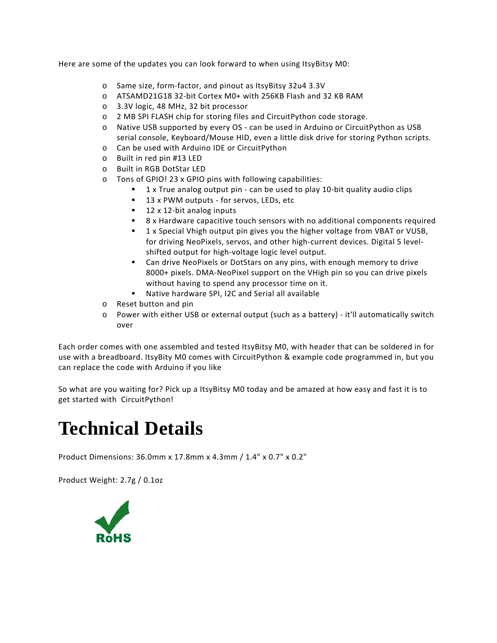Here are some of the updates you can look forward to when using ItsyBitsy M0:

- o Same size, form‐factor, and pinout as ItsyBitsy 32u4 3.3V
- o ATSAMD21G18 32‐bit Cortex M0+ with 256KB Flash and 32 KB RAM
- o 3.3V logic, 48 MHz, 32 bit processor
- o 2 MB SPI FLASH chip for storing files and CircuitPython code storage.
- o Native USB supported by every OS ‐ can be used in Arduino or CircuitPython as USB serial console, Keyboard/Mouse HID, even a little disk drive for storing Python scripts.
- o Can be used with Arduino IDE or CircuitPython
- o Built in red pin #13 LED
- o Built in RGB DotStar LED
- o Tons of GPIO! 23 x GPIO pins with following capabilities:
	- 1 x True analog output pin can be used to play 10-bit quality audio clips
	- 13 x PWM outputs for servos, LEDs, etc
	- 12 x 12-bit analog inputs
	- 8 x Hardware capacitive touch sensors with no additional components required
	- 1 x Special Vhigh output pin gives you the higher voltage from VBAT or VUSB, for driving NeoPixels, servos, and other high‐current devices. Digital 5 level‐ shifted output for high‐voltage logic level output.
	- Can drive NeoPixels or DotStars on any pins, with enough memory to drive 8000+ pixels. DMA‐NeoPixel support on the VHigh pin so you can drive pixels without having to spend any processor time on it.
	- Native hardware SPI, I2C and Serial all available
- o Reset button and pin
- o Power with either USB or external output (such as a battery) ‐ it'll automatically switch over

Each order comes with one assembled and tested ItsyBitsy M0, with header that can be soldered in for use with a breadboard. ItsyBity M0 comes with CircuitPython & example code programmed in, but you can replace the code with Arduino if you like

So what are you waiting for? Pick up a ItsyBitsy M0 today and be amazed at how easy and fast it is to get started with CircuitPython!

## **Technical Details**

Product Dimensions: 36.0mm x 17.8mm x 4.3mm / 1.4" x 0.7" x 0.2"

Product Weight: 2.7g / 0.1oz